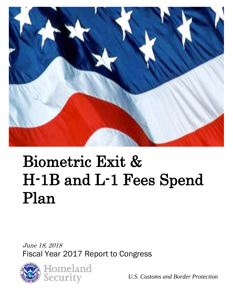

# Biometric Exit & H-1B and L-1 Fees Spend Plan

June 18, 2018 Fiscal Year 2017 Report to Congress



*U.S. Customs and Border Protection*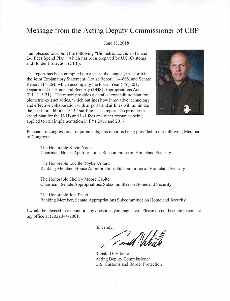# **Message from the Acting Deputy Commissioner of CBP**

#### June 18, 2018

I am pleased to submit the following "Biometric Exit & H-lB and L-1 Fees Spend Plan," which has been prepared by U.S. Customs and Border Protection (CBP).

The report has been compiled pursuant to the language set forth in the Joint Explanatory Statement, House Report 114-668, and Senate Report 114-264, which accompany the Fiscal Year (FY) 2017 Department of Homeland Security (DHS) Appropriations Act (P.L. 115-31). The report provides a detailed expenditure plan for biometric exit activities, which outlines how innovative technology and effective collaboration with airports and airlines will minimize the need for additional CBP staffing. This report also provides a spend plan for the H-1B and L-1 fees and other resources being applied to exit implementation in FYs 2016 and 2017.



Pursuant to congressional requirements, this report is being provided to the following Members of Congress:

The Honorable Kevin Yoder Chairman, House Appropriations Subcommittee on Homeland Security

The Honorable Lucille Roybal-Allard Ranking Member, House Appropriations Subcommittee on Homeland Security

The Honorable Shelley Moore Capito Chairman, Senate Appropriations Subcommittee on Homeland Security

The Honorable Jon Tester Ranking Member, Senate Appropriations Subcommittee on Homeland Security

I would be pleased to respond to any questions you may have. Please do not hesitate to contact my office at (202) 344-2001.

Sincerely,

/, *�tu* 

Ronald D. Vitiello Acting Deputy Commissioner U.S. Customs and Border Protection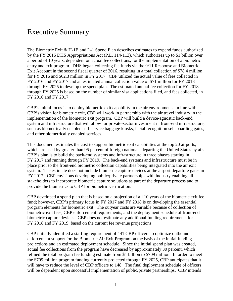# Executive Summary

The Biometric Exit & H-1B and L-1 Spend Plan describes estimates to expend funds authorized by the FY 2016 DHS Appropriations Act (P.L. 114-113), which authorizes up to \$1 billion over a period of 10 years, dependent on actual fee collections, for the implementation of a biometric entry and exit program. DHS began collecting fee funds via the 9/11 Response and Biometric Exit Account in the second fiscal quarter of 2016, resulting in a total collection of \$78.4 million for FY 2016 and \$62.3 million in FY 2017. CBP utilized the actual value of fees collected in FY 2016 and FY 2017 and an estimated annual collection value of \$71 million for FY 2018 through FY 2025 to develop the spend plan. The estimated annual fee collection for FY 2018 through FY 2025 is based on the number of similar visa applications filed, and fees collected, in FY 2016 and FY 2017.

CBP's initial focus is to deploy biometric exit capability in the air environment. In line with CBP's vision for biometric exit, CBP will work in partnership with the air travel industry in the implementation of the biometric exit program. CBP will build a device-agnostic back-end system and infrastructure that will allow for private-sector investment in front-end infrastructure, such as biometrically enabled self-service baggage kiosks, facial recognition self-boarding gates, and other biometrically enabled services.

This document estimates the cost to support biometric exit capabilities at the top 20 airports, which are used by greater than 95 percent of foreign nationals departing the United States by air. CBP's plan is to build the back-end systems and infrastructure in three phases starting in FY 2017 and running through FY 2019. The back-end systems and infrastructure must be in place prior to the front-end biometric collection capabilities being integrated into the air exit system. The estimate does not include biometric capture devices at the airport departure gates in FY 2017. CBP envisions developing public/private partnerships with industry enabling all stakeholders to incorporate biometric capture solutions as part of the departure process and to provide the biometrics to CBP for biometric verification.

CBP developed a spend plan that is based on a projection of all 10 years of the biometric exit fee fund; however, CBP's primary focus in FY 2017 and FY 2018 is on developing the essential program elements for biometric exit. The outyear costs are variable because of collection of biometric exit fees, CBP enforcement requirements, and the deployment schedule of front-end biometric capture devices. CBP does not estimate any additional funding requirements for FY 2018 and FY 2019, based on the current fee revenue projections.

CBP initially identified a staffing requirement of 441 CBP officers to optimize outbound enforcement support for the Biometric Air Exit Program on the basis of the initial funding projections and an estimated deployment schedule. Since the initial spend plan was created, actual fee collections from the program have decreased by approximately 30 percent, which refined the total program fee funding estimate from \$1 billion to \$709 million. In order to meet the \$709 million program funding currently projected through FY 2025, CBP anticipates that it will have to reduce the level of CBP officers to 148. The final deployment schedule of officers will be dependent upon successful implementation of public/private partnerships. CBP intends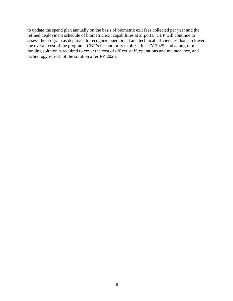to update the spend plan annually on the basis of biometric exit fees collected per year and the refined deployment schedule of biometric exit capabilities at airports. CBP will continue to assess the program as deployed to recognize operational and technical efficiencies that can lower the overall cost of the program. CBP's fee authority expires after FY 2025, and a long-term funding solution is required to cover the cost of officer staff, operations and maintenance, and technology refresh of the solution after FY 2025.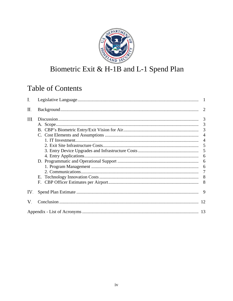

# Biometric Exit & H-1B and L-1 Spend Plan

# **Table of Contents**

| I.  |    |   |
|-----|----|---|
| П.  |    |   |
| Ш.  |    |   |
|     |    |   |
|     |    |   |
|     |    |   |
|     |    |   |
|     |    |   |
|     |    |   |
|     |    |   |
|     |    |   |
|     |    |   |
|     |    |   |
|     | Е. |   |
|     |    |   |
|     |    |   |
| IV. |    | 9 |
| V.  |    |   |
|     |    |   |
|     |    |   |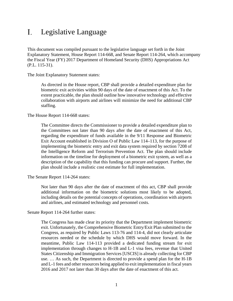#### <span id="page-5-0"></span>Legislative Language L.

This document was compiled pursuant to the legislative language set forth in the Joint Explanatory Statement, House Report 114-668, and Senate Report 114-264, which accompany the Fiscal Year (FY) 2017 Department of Homeland Security (DHS) Appropriations Act (P.L. 115-31).

The Joint Explanatory Statement states:

As directed in the House report, CBP shall provide a detailed expenditure plan for biometric exit activities within 90 days of the date of enactment of this Act. To the extent practicable, the plan should outline how innovative technology and effective collaboration with airports and airlines will minimize the need for additional CBP staffing.

The House Report 114-668 states:

The Committee directs the Commissioner to provide a detailed expenditure plan to the Committees not later than 90 days after the date of enactment of this Act, regarding the expenditure of funds available in the 9/11 Response and Biometric Exit Account established in Division O of Public Law 114–113, for the purpose of implementing the biometric entry and exit data system required by section 7208 of the Intelligence Reform and Terrorism Prevention Act. The plan should include information on the timeline for deployment of a biometric exit system, as well as a description of the capability that this funding can procure and support. Further, the plan should include a realistic cost estimate for full implementation.

The Senate Report 114-264 states:

Not later than 90 days after the date of enactment of this act, CBP shall provide additional information on the biometric solutions most likely to be adopted, including details on the potential concepts of operations, coordination with airports and airlines, and estimated technology and personnel costs.

Senate Report 114-264 further states:

The Congress has made clear its priority that the Department implement biometric exit. Unfortunately, the Comprehensive Biometric Entry/Exit Plan submitted to the Congress, as required by Public Laws 113-76 and 114-4, did not clearly articulate resources needed or the schedule by which DHS would move forward. In the meantime, Public Law 114-113 provided a dedicated funding stream for exit implementation through changes to H-1B and L-1 visa fees, revenue that United States Citizenship and Immigration Services [USCIS] is already collecting for CBP use. … As such, the Department is directed to provide a spend plan for the H-1B and L-1 fees and other resources being applied to exit implementation in fiscal years 2016 and 2017 not later than 30 days after the date of enactment of this act.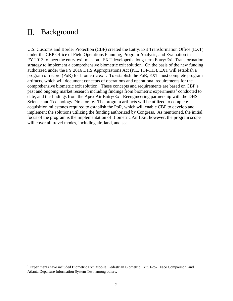#### <span id="page-6-0"></span> $II.$ Background

 $\overline{a}$ 

U.S. Customs and Border Protection (CBP) created the Entry/Exit Transformation Office (EXT) under the CBP Office of Field Operations Planning, Program Analysis, and Evaluation in FY 2013 to meet the entry-exit mission. EXT developed a long-term Entry/Exit Transformation strategy to implement a comprehensive biometric exit solution. On the basis of the new funding authorized under the FY 2016 DHS Appropriations Act (P.L. 114-113), EXT will establish a program of record (PoR) for biometric exit. To establish the PoR, EXT must complete program artifacts, which will document concepts of operations and operational requirements for the comprehensive biometric exit solution. These concepts and requirements are based on CBP's past and ongoing market research including findings from biometric experiments<sup>[1](#page-6-1)</sup> conducted to date, and the findings from the Apex Air Entry/Exit Reengineering partnership with the DHS Science and Technology Directorate. The program artifacts will be utilized to complete acquisition milestones required to establish the PoR, which will enable CBP to develop and implement the solutions utilizing the funding authorized by Congress. As mentioned, the initial focus of the program is the implementation of Biometric Air Exit; however, the program scope will cover all travel modes, including air, land, and sea.

<span id="page-6-1"></span><sup>&</sup>lt;sup>1</sup> Experiments have included Biometric Exit Mobile, Pedestrian Biometric Exit, 1-to-1 Face Comparison, and Atlanta Departure Information System Test, among others.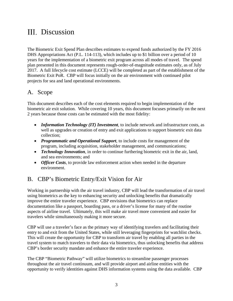# <span id="page-7-0"></span>III. Discussion

The Biometric Exit Spend Plan describes estimates to expend funds authorized by the FY 2016 DHS Appropriations Act (P.L. 114-113), which includes up to \$1 billion over a period of 10 years for the implementation of a biometric exit program across all modes of travel. The spend plan presented in this document represents rough-order-of-magnitude estimates only, as of July 2017. A full lifecycle cost estimate (LCCE) will be completed as part of the establishment of the Biometric Exit PoR. CBP will focus initially on the air environment with continued pilot projects for sea and land operational environments.

### <span id="page-7-1"></span>A. Scope

This document describes each of the cost elements required to begin implementation of the biometric air exit solution. While covering 10 years, this document focuses primarily on the next 2 years because those costs can be estimated with the most fidelity:

- *Information Technology (IT) Investment*, to include network and infrastructure costs, as well as upgrades or creation of entry and exit applications to support biometric exit data collection;
- *Programmatic and Operational Support*, to include costs for management of the program, including acquisition, stakeholder management, and communications;
- *Technology Innovation*, in order to continue furthering biometric exit in the air, land, and sea environments; and
- *Officer Costs*, to provide law enforcement action when needed in the departure environment.

# <span id="page-7-2"></span>B. CBP's Biometric Entry/Exit Vision for Air

Working in partnership with the air travel industry, CBP will lead the transformation of air travel using biometrics as the key to enhancing security and unlocking benefits that dramatically improve the entire traveler experience. CBP envisions that biometrics can replace documentation like a passport, boarding pass, or a driver's license for many of the routine aspects of airline travel. Ultimately, this will make air travel more convenient and easier for travelers while simultaneously making it more secure.

CBP will use a traveler's face as the primary way of identifying travelers and facilitating their entry to and exit from the United States, while still leveraging fingerprints for watchlist checks. This will create the opportunity for CBP to transform air travel by enabling all parties in the travel system to match travelers to their data via biometrics, thus unlocking benefits that address CBP's border security mandate and enhance the entire traveler experience.

The CBP "Biometric Pathway" will utilize biometrics to streamline passenger processes throughout the air travel continuum, and will provide airport and airline entities with the opportunity to verify identities against DHS information systems using the data available. CBP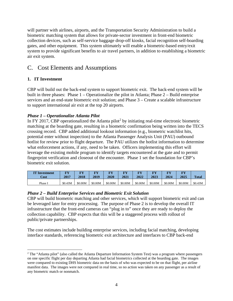will partner with airlines, airports, and the Transportation Security Administration to build a biometric matching system that allows for private-sector investment in front-end biometric collection devices, such as self-service baggage drop-off kiosks, facial recognition self-boarding gates, and other equipment. This system ultimately will enable a biometric-based entry/exit system to provide significant benefits to air travel partners, in addition to establishing a biometric air exit system.

## <span id="page-8-0"></span>C. Cost Elements and Assumptions

#### <span id="page-8-1"></span>**1. IT Investment**

CBP will build out the back-end system to support biometric exit. The back-end system will be built in three phases: Phase 1 – Operationalize the pilot in Atlanta; Phase 2 – Build enterprise services and an end-state biometric exit solution; and Phase 3 – Create a scalable infrastructure to support international air exit at the top 20 airports.

#### *Phase 1 – Operationalize Atlanta Pilot*

In FY [2](#page-8-2)017, CBP operationalized the Atlanta pilot<sup>2</sup> by initiating real-time electronic biometric matching at the boarding gate, resulting in a biometric confirmation being written into the TECS crossing record. CBP added additional lookout information (e.g., biometric watchlist hits, potential enter without inspection) to the Atlanta Passenger Analysis Unit (PAU) outbound hotlist for review prior to flight departure. The PAU utilizes the hotlist information to determine what enforcement actions, if any, need to be taken. Officers implementing this effort will leverage the existing mobile program to identify targets encountered at the gate and to permit fingerprint verification and closeout of the encounter. Phase 1 set the foundation for CBP's biometric exit solution.

| <b>IT Investment</b> | FY      | <b>T/V</b> | <b>TAX</b> | <b>TAX</b> | <b>TAX</b> | <b>TAX</b> | <b>TAX</b> | <b>TAX</b> | T/TZ    | <b>Total</b> |
|----------------------|---------|------------|------------|------------|------------|------------|------------|------------|---------|--------------|
| Cost                 | 2017    | 2018       | 2019       | 2020       | 2021       | 2022       | 2023       | 2024       | 2025    |              |
| Phase $\mathbf{r}$   | \$0.43M | \$0.00M    | \$0.00M    | \$0.00M    | \$0.00M    | \$0.00M    | \$0.00M    | \$0.00M    | \$0.00M | \$0.43M      |

#### *Phase 2 – Build Enterprise Services and Biometric Exit Solution*

CBP will build biometric matching and other services, which will support biometric exit and can be leveraged later for entry processing. The purpose of Phase 2 is to develop the overall IT infrastructure that the front-end cameras can "plug in to" once they are ready to deploy the collection capability. CBP expects that this will be a staggered process with rollout of public/private partnerships.

The cost estimates include building enterprise services, including facial matching, developing interface standards, referencing biometric exit architecture and interfaces to CBP back-end

<span id="page-8-2"></span> $\overline{a}$ <sup>2</sup> The "Atlanta pilot" (also called the Atlanta Departure Information System Test) was a program where passengers on one specific flight per day departing Atlanta had facial biometrics collected at the boarding gate. The images were compared to existing DHS biometric data on the basis of who was expected to be on that flight, per airline manifest data. The images were not compared in real time, so no action was taken on any passenger as a result of any biometric match or nonmatch.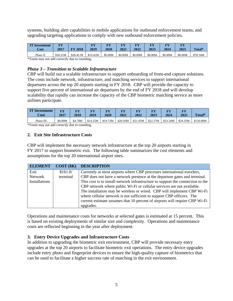systems, building alert capabilities to mobile applications for outbound enforcement teams, and upgrading targeting applications to comply with new outbound enforcement policies.

| <b>IT Investment</b><br><b>Cost</b> | कार<br>2017 | FY 2018   | त्रस<br>2019 | <b>TV</b><br>2020 | $\overline{\bf\bf v}$<br>2021 | T.V<br>2022 | <b>TN</b><br>2023 | <b>TRE2</b><br>2024 | FУ<br>2025 | Total*   |
|-------------------------------------|-------------|-----------|--------------|-------------------|-------------------------------|-------------|-------------------|---------------------|------------|----------|
| Phase II                            | \$30.31M    | \$28.45 M | \$19.41M     | \$0.00M           | \$0.00M                       | \$0.00M     | \$0.00M           | \$0.00M             | \$0.00M    | \$78.16M |

\*Totals may not add correctly due to rounding.

#### *Phase 3 – Transition to Scalable Infrastructure*

CBP will build out a scalable infrastructure to support onboarding of front-end capture solutions. The costs include network, infrastructure, and matching services to support international departures across the top 20 airports starting in FY 2018. CBP will provide the capacity to support five percent of international air departures by the end of FY 2018 and will develop scalability that rapidly can increase the capacity of the CBP biometric matching service as more airlines participate.

| <b>IT</b> Investment<br>Cost | कर<br>2017 | FЛ<br>2018 | m<br>2019 | 2020     | त्रक<br>2021 | ГV<br>2022 | FY<br>2023 | 2024     | FY<br>2025 | Total*    |
|------------------------------|------------|------------|-----------|----------|--------------|------------|------------|----------|------------|-----------|
| Phase III                    | \$0.00M    | \$4.78M    | \$14.25M  | \$19.72M | \$20.56M     | \$21.45M   | \$22.37M   | \$23.34M | \$24.35M   | \$150.80M |

\*Totals may not add correctly due to rounding.

#### <span id="page-9-0"></span>**2. Exit Site Infrastructure Costs**

CBP will implement the necessary network infrastructure at the top 20 airports starting in FY 2017 to support biometric exit. The following table summarizes the cost elements and assumptions for the top 20 international airport sites.

| <b>ELEMENT</b> | COST(SK) | <b>DESCRIPTION</b>                                                              |
|----------------|----------|---------------------------------------------------------------------------------|
| Exit           | \$161.0/ | Currently at most airports where CBP processes international travelers,         |
| Network        | terminal | CBP does not have a network presence at the departure gates and terminal.       |
| Installations  |          | This cost is to install network infrastructure to support the connection to the |
|                |          | CBP network where public Wi-Fi or cellular services are not available.          |
|                |          | The installation may be wireless or wired. CBP will implement CBP Wi-Fi         |
|                |          | where cellular network is not sufficient to support CBP officers. The           |
|                |          | current estimate assumes that 10 percent of airports will require CBP Wi-Fi     |
|                |          | upgrades.                                                                       |

Operations and maintenance costs for networks at selected gates is estimated at 15 percent. This is based on existing deployments of similar size and complexity. Operations and maintenance costs are reflected beginning in the year after deployment.

#### <span id="page-9-1"></span>**3. Entry Device Upgrades and Infrastructure Costs**

In addition to upgrading the biometric exit environment, CBP will provide necessary entry upgrades at the top 20 airports to facilitate biometric exit operations. The entry device upgrades include entry photo and fingerprint devices to ensure the high-quality capture of biometrics that can be used to facilitate a higher success rate of matching in the exit environment.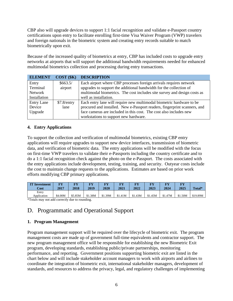CBP also will upgrade devices to support 1:1 facial recognition and validate e-Passport country certifications upon entry to facilitate enrolling first-time Visa Waiver Program (VWP) travelers and foreign nationals in the biometric system and creating entry records suitable to match biometrically upon exit.

Because of the increased quality of biometrics at entry, CBP has included costs to upgrade entry networks at airports that will support the additional bandwidth requirements needed for enhanced multimodal biometrics collection and processing during entry transactions.

| <b>ELEMENT</b>    | COST(SK)    | <b>DESCRIPTION</b>                                                        |
|-------------------|-------------|---------------------------------------------------------------------------|
| Entry             | \$663.5/    | Each airport where CBP processes foreign arrivals requires network        |
| Terminal          | airport     | upgrades to support the additional bandwidth for the collection of        |
| Network           |             | multimodal biometrics. The cost includes site survey and design costs as  |
| Installation      |             | well as installation.                                                     |
| <b>Entry Lane</b> | \$7.8/entry | Each entry lane will require new multimodal biometric hardware to be      |
| Device            | lane        | procured and installed. New e-Passport readers, fingerprint scanners, and |
| Upgrade           |             | face cameras are included in this cost. The cost also includes new        |
|                   |             | workstations to support new hardware.                                     |

#### <span id="page-10-0"></span>**4. Entry Applications**

To support the collection and verification of multimodal biometrics, existing CBP entry applications will require upgrades to support new device interfaces, transmission of biometric data, and verification of biometric data. The entry applications will be modified with the focus on first-time VWP travelers to validate their e-Passports including the country certificate and to do a 1:1 facial recognition check against the photo on the e-Passport. The costs associated with the entry applications include development, testing, training, and security. Outyear costs include the cost to maintain change requests to the applications. Estimates are based on prior work efforts modifying CBP primary applications.

| <b>IT Investment</b> | FY      | T.      | FY      | FУ      | ma.     | <b>FY</b> | FY      | mх      | <b>FV</b> | Total*   |
|----------------------|---------|---------|---------|---------|---------|-----------|---------|---------|-----------|----------|
| Cost                 | 2017    | 2018    | 2019    | 2020    | 2021    | 2022      | 2023    | 2024    | 2025      |          |
| Entry<br>Application | \$4.00M | \$5.85M | \$1.38M | \$1.39M | \$1.41M | \$1.43M   | \$1.45M | \$1.47M | \$1.50M   | \$19.89M |

\*Totals may not add correctly due to rounding.

# <span id="page-10-1"></span>D. Programmatic and Operational Support

#### <span id="page-10-2"></span>**1. Program Management**

Program management support will be required over the lifecycle of biometric exit. The program management costs are made up of government full-time equivalents and contractor support. The new program management office will be responsible for establishing the new Biometric Exit program, developing standards, establishing public/private partnerships, monitoring performance, and reporting. Government positions supporting biometric exit are listed in the chart below and will include stakeholder account managers to work with airports and airlines to coordinate the integration of biometric exit, international stakeholder managers, development of standards, and resources to address the privacy, legal, and regulatory challenges of implementing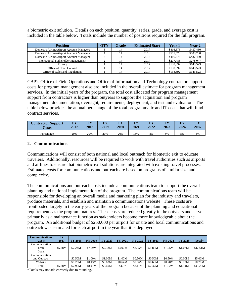a biometric exit solution. Details on each position, quantity, series, grade, and average cost is included in the table below. Totals include the number of positions required for the full program.

| <b>Position</b>                             | ЭTY | Grade | <b>Estimated Start</b> | Year 1    | Year 2    |
|---------------------------------------------|-----|-------|------------------------|-----------|-----------|
| Domestic Airline/Airport Account Managers   |     |       | 2017                   | \$416,678 | \$437,460 |
| Domestic Airline/Airport Account Managers   |     |       | 2018                   | \$555,570 | \$583.280 |
| Domestic Airline/Airport Account Managers   |     |       | 2018                   | \$416,678 | \$437,460 |
| <b>International Stakeholder Management</b> |     | 14    | 2017                   | \$277,785 | \$278,047 |
| Privacy                                     |     |       | 2017                   | \$138,892 | \$143,523 |
| Office of Chief Counsel                     |     |       | 2017                   | \$138,892 | \$143,523 |
| Office of Rules and Regulations             |     |       | 2017                   | \$138,892 | \$143.523 |

CBP's Office of Field Operations and Office of Information and Technology contractor support costs for program management also are included in the overall estimate for program management services. In the initial years of the program, the total cost allocated for program management support from contractors is higher than outyears to support the acquisition and program management documentation, oversight, requirements, deployment, and test and evaluation. The table below provides the annual percentage of the total programmatic and IT costs that will fund contract services.

| <b>Contractor Support</b> | T/T  | $\overline{V}$ V | <b>TN</b> | <b>TAX</b> | m    | <b>TITLE</b> | m    | T(X) | T/TZ |
|---------------------------|------|------------------|-----------|------------|------|--------------|------|------|------|
| Costs                     | 2017 | 2018             | 2019      | 2020       | 2021 | 2022         | 2023 | 2024 | 2025 |
| Percentage                | 20%  | 20%              | 20%       | 20%        | 15%  | 8%           | 8%   | 8%   | 5%   |

#### <span id="page-11-0"></span>**2. Communications**

Communications will consist of both national and local outreach for biometric exit to educate travelers. Additionally, resources will be required to work with travel authorities such as airports and airlines to ensure that biometric exit solutions are integrated with existing travel processes. Estimated costs for communications and outreach are based on programs of similar size and complexity.

The communications and outreach costs include a communications team to support the overall planning and national implementation of the program. The communications team will be responsible for developing an overall media and marketing plan for the industry and travelers, produce materials, and establish and maintain a communications website. These costs are frontloaded largely in the early years of the program because of the planning and educational requirements as the program matures. These costs are reduced greatly in the outyears and serve primarily as a maintenance function as stakeholders become more knowledgeable about the program. An additional budget of \$250,000 per airport for onsite and local communications and outreach was estimated for each airport in the year that it is deployed.

| Communications | <b>FY</b> |                |                |                |                |                |         |                |                |          |
|----------------|-----------|----------------|----------------|----------------|----------------|----------------|---------|----------------|----------------|----------|
| <b>Costs</b>   | 2017      | <b>FY 2018</b> | <b>FY 2019</b> | <b>FY 2020</b> | <b>FY 2021</b> | <b>FY 2022</b> | FY 2023 | <b>FY 2024</b> | <b>FY 2025</b> | Total*   |
| Communication  |           |                |                |                |                |                |         |                |                |          |
| Team           | \$5.28M   | \$7.24M        | \$7.29M        | \$7.33M        | \$3.90M        | \$2.55M        | \$1.80M | \$1.05M        | \$1.07M        | \$37.51M |
| Local          |           |                |                |                |                |                |         |                |                |          |
| Communication  |           |                |                |                |                |                |         |                |                |          |
| and Outreach   |           | \$0.50M        | \$1.00M        | \$1.00M        | \$1.00M        | \$0.50M        | \$0.50M | \$0.50M        | \$0.00M        | \$5.00M  |
| Website        |           | \$0.25M        | \$0.13M        | \$0.63M        | \$0.64M        | \$0.66M        | \$0.68M | \$0.70M        | \$0.72M        | \$0.78M  |
| Total          | \$5.28M   | \$7.99M        | \$8.41M        | \$8.40M        | \$4.97         | \$3.11M        | \$2.37M | \$1.62M        | \$1.14M        | \$43.29M |

\*Totals may not add correctly due to rounding.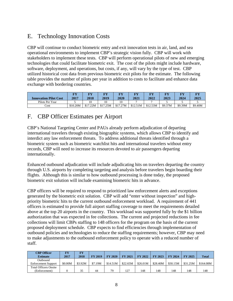# <span id="page-12-0"></span>E. Technology Innovation Costs

CBP will continue to conduct biometric entry and exit innovation tests in air, land, and sea operational environments to implement CBP's strategic vision fully. CBP will work with stakeholders to implement these tests. CBP will perform operational pilots of new and emerging technologies that could facilitate biometric exit. The cost of the pilots might include hardware, software, deployment, and operations, but costs, if any, will vary by the type of test. CBP utilized historical cost data from previous biometric exit pilots for the estimate. The following table provides the number of pilots per year in addition to costs to facilitate and enhance data exchange with bordering countries.

| <b>Innovation Pilot Cost</b> | T/T<br>2017 | <b>TV</b><br>2018 | TTX<br>2019 | $\overline{V}$<br>2020 | FY<br>2021 | $\overline{\mathbf{F}}\mathbf{V}$<br>2022 | <b>TIV</b><br>2023 | <b>TAX</b><br>2024 | $\mathbf{T}^{\mathbf{X}}$<br>2025 |
|------------------------------|-------------|-------------------|-------------|------------------------|------------|-------------------------------------------|--------------------|--------------------|-----------------------------------|
| Pilots Per Year              |             |                   |             |                        |            |                                           |                    |                    |                                   |
| Cost                         | \$10.20M    | \$17.22M          | \$17.25M    | \$17.27M               | \$12.51M   | \$12.53M                                  | \$9.37M            | \$9.39M            | \$9.40M                           |

# <span id="page-12-1"></span>F. CBP Officer Estimates per Airport

CBP's National Targeting Center and PAUs already perform adjudication of departing international travelers through existing biographic systems, which allows CBP to identify and interdict any law enforcement threats. To address additional threats identified through a biometric system such as biometric watchlist hits and international travelers without entry records, CBP will need to increase its resources devoted to air passengers departing internationally.

Enhanced outbound adjudication will include adjudicating hits on travelers departing the country through U.S. airports by completing targeting and analysis before travelers begin boarding their flights. Although this is similar to how outbound processing is done today, the proposed biometric exit solution will include examining biometric hits in advance.

CBP officers will be required to respond to prioritized law enforcement alerts and exceptions generated by the biometric exit solution. CBP will add "enter without inspection" and highpriority biometric hits to the current outbound enforcement workload. A requirement of 441 officers is estimated to provide full airport staffing coverage to meet the requirements detailed above at the top 20 airports in the country. This workload was supported fully by the \$1 billion authorization that was expected in fee collections. The current and projected reductions in fee collections will limit CBPs staffing to 148 officers for the program on the basis of the current proposed deployment schedule. CBP expects to find efficiencies through implementation of outbound policies and technologies to reduce the staffing requirements; however, CBP may need to make adjustments to the outbound enforcement policy to operate with a reduced number of staff.

| <b>CBP Officer</b><br><b>Estimate</b> | 2017    | FY<br>2018 | <b>FY 2019</b> | <b>FY 2020</b> | <b>FY 2021</b> | <b>FY 2022</b> | <b>FY 2023</b> | <b>FY 2024</b> | <b>FY 2025</b> | <b>Total</b> |
|---------------------------------------|---------|------------|----------------|----------------|----------------|----------------|----------------|----------------|----------------|--------------|
| Outbound                              |         |            |                |                |                |                |                |                |                |              |
| <b>Enforcement Support</b>            | \$0.00M | \$3.92M    | \$7.19M        | \$14.51M       | \$22.65M       | \$26.01M       | \$28.40M       | \$30.15M       | \$31.25M       | \$164.08M    |
| <b>Total Officers Onsite</b>          |         |            |                |                |                |                |                |                |                |              |
| (Enforcement)                         |         | 35         | 44             | 79             | 127            | 148            | 148            | 148            | 148            | 148          |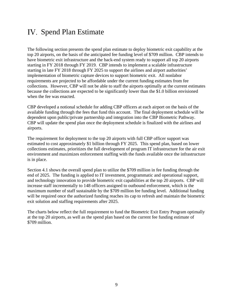# <span id="page-13-0"></span>IV. Spend Plan Estimate

The following section presents the spend plan estimate to deploy biometric exit capability at the top 20 airports, on the basis of the anticipated fee funding level of \$709 million. CBP intends to have biometric exit infrastructure and the back-end system ready to support all top 20 airports starting in FY 2018 through FY 2019. CBP intends to implement a scalable infrastructure starting in late FY 2018 through FY 2025 to support the airlines and airport authorities' implementation of biometric capture devices to support biometric exit. All nonlabor requirements are projected to be affordable under the current funding estimates from fee collections. However, CBP will not be able to staff the airports optimally at the current estimates because the collections are expected to be significantly lower than the \$1.0 billion envisioned when the fee was enacted.

CBP developed a notional schedule for adding CBP officers at each airport on the basis of the available funding through the fees that fund this account. The final deployment schedule will be dependent upon public/private partnership and integration into the CBP Biometric Pathway. CBP will update the spend plan once the deployment schedule is finalized with the airlines and airports.

The requirement for deployment to the top 20 airports with full CBP officer support was estimated to cost approximately \$1 billion through FY 2025. This spend plan, based on lower collections estimates, prioritizes the full development of program IT infrastructure for the air exit environment and maximizes enforcement staffing with the funds available once the infrastructure is in place.

Section 4.1 shows the overall spend plan to utilize the \$709 million in fee funding through the end of 2025. The funding is applied to IT investment, programmatic and operational support, and technology innovation to provide biometric exit capabilities at the top 20 airports. CBP will increase staff incrementally to 148 officers assigned to outbound enforcement, which is the maximum number of staff sustainable by the \$709 million fee funding level. Additional funding will be required once the authorized funding reaches its cap to refresh and maintain the biometric exit solution and staffing requirements after 2025.

The charts below reflect the full requirement to fund the Biometric Exit Entry Program optimally at the top 20 airports, as well as the spend plan based on the current fee funding estimate of \$709 million.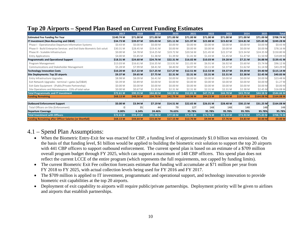### **Top 20 Airports – Spend Plan Based on Current Funding Estimates**

|                                                                          |                      |           |                      | o          |           |                     |                     |                     |                     |                     |
|--------------------------------------------------------------------------|----------------------|-----------|----------------------|------------|-----------|---------------------|---------------------|---------------------|---------------------|---------------------|
|                                                                          | 2017                 | 2018      | 2019                 | 2020       | 2021      | 2022                | 2023                | 2024                | 2025                | <b>Total</b>        |
| <b>Estimated Fee Funding Per Year</b>                                    | \$140.74 M           | \$71.00 M | \$71.00 M            | \$71.00 M  | \$71.00 M | \$71.00 M           | \$71.00 M           | \$71.00 M           | \$71.00 M           | \$708.74 M          |
| IT Investment (Non-Recurring and O&M)                                    | \$34.73 M            | \$39.07 M | \$35.03 M            | \$21.11 M  | \$21.97 M | \$22.88 M           | \$23.82 M           | \$24.81 M           | \$25.85 M           | \$249.28 M          |
| Phase I - Operationalize Departure Information Systems                   | \$0.43 M             | \$0.00 M  | \$0.00 M             | \$0.00 M   | \$0.00 M  | \$0.00 M            | \$0.00 M            | \$0.00 M            | \$0.00 M            | \$0.43 M            |
| Phase II - Build Enterprise Services and End-State Biometric Exit soluti | \$30.31 M            | \$28.45 M | \$19.41 M            | \$0.00 M   | \$0.00 M  | \$0.00 M            | \$0.00 M            | \$0.00 M            | \$0.00 M            | \$78.16 M           |
| Phase III - Scalable Infrastructure                                      | \$0.00 M             | \$4.78 M  | \$14.25 M            | \$19.72 M  | \$20.56 M | \$21.45 M           | \$22.37 M           | \$23.34 M           | \$24.35 M           | \$150.80 M          |
| <b>Entry Applications</b>                                                | \$4.00 M             | \$5.85 M  | \$1.38 M             | \$1.39 M   | \$1.41 M  | \$1.43 M            | \$1.45 M            | \$1.47 M            | \$1.50 M            | \$19.89 M           |
| <b>Programmatic and Operational Support</b>                              | \$18.31 M            | \$24.60 M | \$24.76 M            | \$22.31 M  | \$16.02 M | \$10.03 M           | \$9.28 M            | \$7.21 M            | \$6.88 M            | \$139.41 M          |
| Program Management                                                       | \$13.03 M            | \$16.61 M | \$16.35 M            | \$13.91 M  | \$11.05 M | \$6.91 M            | \$6.92 M            | \$5.60 M            | \$5.74 M            | \$96.12 M           |
| Communications and Stakeholder Management                                | \$5.28 M             | \$7.99 M  | \$8.41 M             | \$8.40 M   | \$4.97 M  | \$3.11 M            | \$2.37 M            | \$1.62 M            | $$1.14$ M           | \$43.29 M           |
| <b>Technology Innovation Costs</b>                                       | \$10.20 M            | \$17.22 M | \$17.25 M            | \$17.27 M  | \$12.51 M | \$12.53 M           | \$9.37 M            | \$9.39 M            | \$9.40 M            | \$115.14 M          |
| Site Deployments: Top 20 airports                                        | \$9.37 M             | \$9.65 M  | \$7.75 M             | \$2.31 $M$ | $$2.31$ M | \$2.31 M            | \$2.31 <sub>M</sub> | \$2.38 M            | \$2.45 M            | \$40.83 M           |
| Entry Infrastructure Upgrades                                            | \$8.98 M             | \$8.09 M  | \$6.41 M             | \$0.00 M   | \$0.00 M  | \$0.00 M            | \$0.00 M            | \$0.00 <sub>M</sub> | \$0.00 M            | \$23.48 M           |
| Exit Network Upgrades - terminal + gates (w/O&M)                         | \$0.39 M             | \$0.89 M  | \$0.00 M             | \$0.00 M   | \$0.00 M  | \$0.00 M            | \$0.00 M            | \$0.00 M            | \$0.00 M            | \$1.27 M            |
| Exit Gate Equipment - (Public/Private Partnership)                       | \$0.00 M             | \$0.00 M  | \$0.00 M             | \$0.00 M   | \$0.00 M  | \$0.00 M            | \$0.00 M            | \$0.00 M            | \$0.00 M            | \$0.00 M            |
| Site Operations and Maintenance - 15% of total value                     | \$0.00 M             | \$0.67 M  | \$1.35 M             | \$2.31 M   | \$2.31 M  | \$2.31 M            | \$2.31 M            | \$2.38 M            | \$2.45 M            | \$16.08 M           |
| <b>Total Programmatic and IT Investment</b>                              | \$72.61 M            | \$90.55 M | \$84.80 M            | \$62.99 M  | \$52.81 M | \$47.75 M           | \$44.78 M           | \$43.79 M           | \$44.58 M           | \$544.66 M          |
| <b>Funding Remaining</b>                                                 | \$68.13 M            | \$48.58 M | \$34.78 M            | \$42.79 M  | \$60.98 M | \$84.23 M           | \$110.45 M          | \$137.66 M          | \$164.08 M          | \$164.08 M          |
|                                                                          |                      |           |                      |            |           |                     |                     |                     |                     |                     |
| <b>Outbound Enforcement Support</b>                                      | \$0.00 M             | \$3.94 M  | \$7.19 M             | \$14.51 M  | \$22.65 M | \$26.01 M           | \$28.40 M           | \$30.15 M           | \$31.25 M           | \$164.08 M          |
| Total Officers on-Site (Enforcement)                                     | 0                    | 35        | 44                   | 79         | 127       | 148                 | 148                 | 148                 | 148                 | 148                 |
| Departure Coverage                                                       | 0.00%                | 6.34%     | 24.46%               | 76.63%     | 95.78%    | 95.78%              | 95.78%              | 95.78%              | 95.78%              | 95.78%              |
| <b>Total Investment with Officers</b>                                    | \$72.61 M            | \$94.49 M | \$91.98 M            | \$77.50 M  | \$75.45 M | \$73.76 M           | \$73.18 M           | \$73.93 M           | \$75.83 M           | \$708.74 M          |
| <b>Funding Remaining after Officer Salaries (or Shortfall)</b>           | \$68.13 <sub>M</sub> | \$44.64 M | \$23.66 <sub>M</sub> | \$17.15 M  | \$12.70 M | \$9.94 <sub>M</sub> | \$7.76 M            | \$4.83 M            | \$0.00 <sub>M</sub> | \$0.00 <sub>M</sub> |
|                                                                          |                      |           |                      |            |           |                     |                     |                     |                     |                     |

### 4.1 – Spend Plan Assumptions:

- When the Biometric Entry-Exit fee was enacted for CBP, a funding level of approximately \$1.0 billion was envisioned. On the basis of that funding level, \$1 billion would be applied to building the biometric exit solution to support the top 20 airports with 441 CBP officers to support outbound enforcement. The current spend plan is based on an estimate of a \$709 million overall program budget through FY 2025, which can support a maximum of 148 CBP officers. This spend plan does not reflect the current LCCE of the entire program (which represents the full requirements, not capped by funding limits).
- The current Biometric Exit Fee collection forecasts estimate that funding will accumulate at \$71 million per year from FY 2018 to FY 2025, with actual collection levels being used for FY 2016 and FY 2017.
- The \$709 million is applied to IT investment, programmatic and operational support, and technology innovation to provide biometric exit capabilities at the top 20 airports.
- Deployment of exit capability to airports will require public/private partnerships. Deployment priority will be given to airlines and airports that establish partnerships.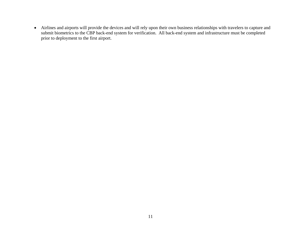• Airlines and airports will provide the devices and will rely upon their own business relationships with travelers to capture and submit biometrics to the CBP back-end system for verification. All back-end system and infrastructure must be completed prior to deployment to the first airport.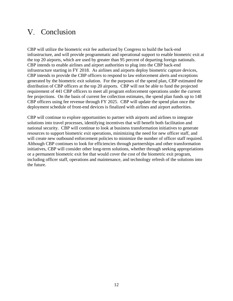# <span id="page-16-0"></span>V. Conclusion

CBP will utilize the biometric exit fee authorized by Congress to build the back-end infrastructure, and will provide programmatic and operational support to enable biometric exit at the top 20 airports, which are used by greater than 95 percent of departing foreign nationals. CBP intends to enable airlines and airport authorities to plug into the CBP back-end infrastructure starting in FY 2018. As airlines and airports deploy biometric capture devices, CBP intends to provide the CBP officers to respond to law enforcement alerts and exceptions generated by the biometric exit solution. For the purposes of the spend plan, CBP estimated the distribution of CBP officers at the top 20 airports. CBP will not be able to fund the projected requirement of 441 CBP officers to meet all program enforcement operations under the current fee projections. On the basis of current fee collection estimates, the spend plan funds up to 148 CBP officers using fee revenue through FY 2025. CBP will update the spend plan once the deployment schedule of front-end devices is finalized with airlines and airport authorities.

CBP will continue to explore opportunities to partner with airports and airlines to integrate solutions into travel processes, identifying incentives that will benefit both facilitation and national security. CBP will continue to look at business transformation initiatives to generate resources to support biometric exit operations, minimizing the need for new officer staff, and will create new outbound enforcement policies to minimize the number of officer staff required. Although CBP continues to look for efficiencies through partnerships and other transformation initiatives, CBP will consider other long-term solutions, whether through seeking appropriations or a permanent biometric exit fee that would cover the cost of the biometric exit program, including officer staff, operations and maintenance, and technology refresh of the solutions into the future.